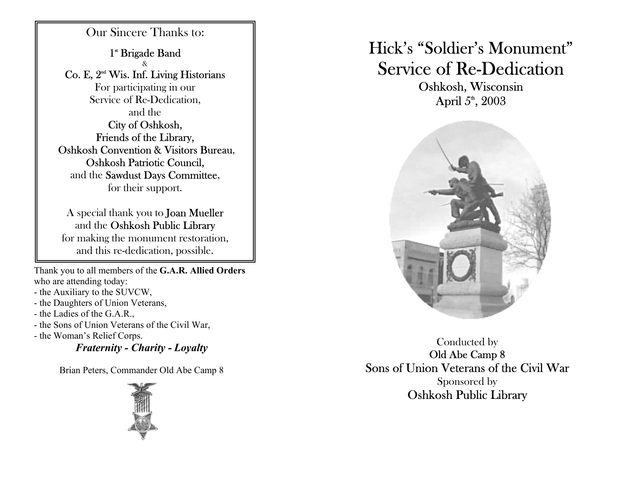Our Sincere Thanks to: 1<sup>\*</sup> Brigade Band &  $\rm Co.$  E,  $2^{\rm nd}$  Wis. Inf. Living Historians For participating in o ur Service of Re-Dedication, and theCity of Oshkosh, Friends of the Library, Oshkosh Convention & Visitors Bureau, Oshkosh Patriotic Council, and the Sawdust Days Committee, for their support.

A special thank you to Joan Mueller and the **Oshkosh Public Library** for making the monument resto ration, and this re-dedication, possible.

Thank you to all m e mb ers of the **G.A.R. Allied Orders** who are attending today:

- the Auxiliary to the SUVCW,
- the Daughters of Union Veterans,
- the Ladies of the G.A.R.,
- the Sons of Union Veterans of the Civil War,
- the Wo man's Relief Corps.

*Fraternity - Charity - Loyalty* 

Brian Peters, Commander Old Abe Camp 8



## Hick's "Soldier's Monument" Service of Re-Dedication

Oshkosh, Wisconsin April  $5^{\circ}$ , 2003



Conducted by Old Abe Cam p 8 Sons of Union Veterans of the Civil WarSponsored by Oshkosh Public Library